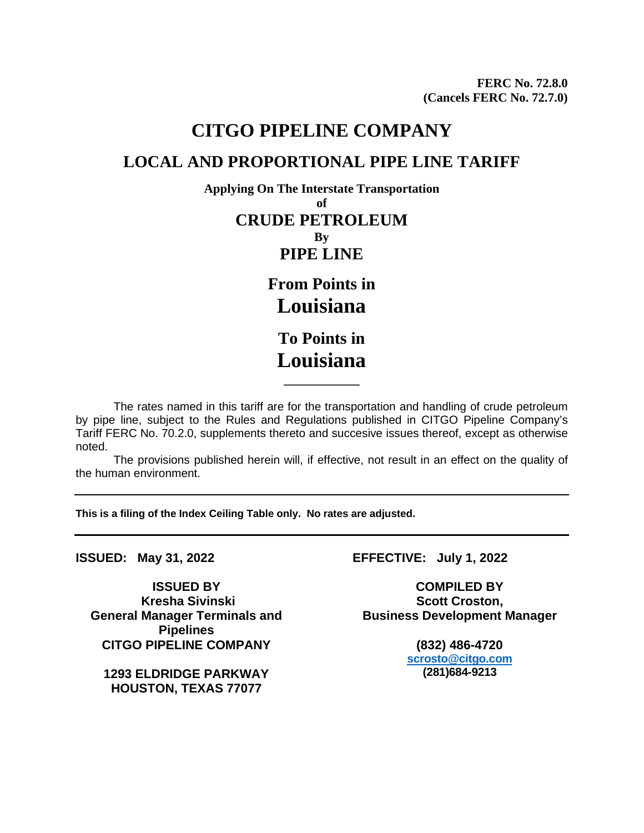## **CITGO PIPELINE COMPANY LOCAL AND PROPORTIONAL PIPE LINE TARIFF**

**Applying On The Interstate Transportation of CRUDE PETROLEUM By PIPE LINE From Points in**

**Louisiana**

**To Points in Louisiana**

**\_\_\_\_\_\_\_\_\_\_\_\_**

The rates named in this tariff are for the transportation and handling of crude petroleum by pipe line, subject to the Rules and Regulations published in CITGO Pipeline Company's Tariff FERC No. 70.2.0, supplements thereto and succesive issues thereof, except as otherwise noted.

The provisions published herein will, if effective, not result in an effect on the quality of the human environment.

**This is a filing of the Index Ceiling Table only. No rates are adjusted.**

**Kresha Sivinski General Manager Terminals and Pipelines CITGO PIPELINE COMPANY (832) 486-4720**

**1293 ELDRIDGE PARKWAY HOUSTON, TEXAS 77077**

**ISSUED: May 31, 2022 EFFECTIVE: July 1, 2022**

**ISSUED BY COMPILED BY Scott Croston, Business Development Manager**

> **scrosto@citgo.com (281)684-9213**